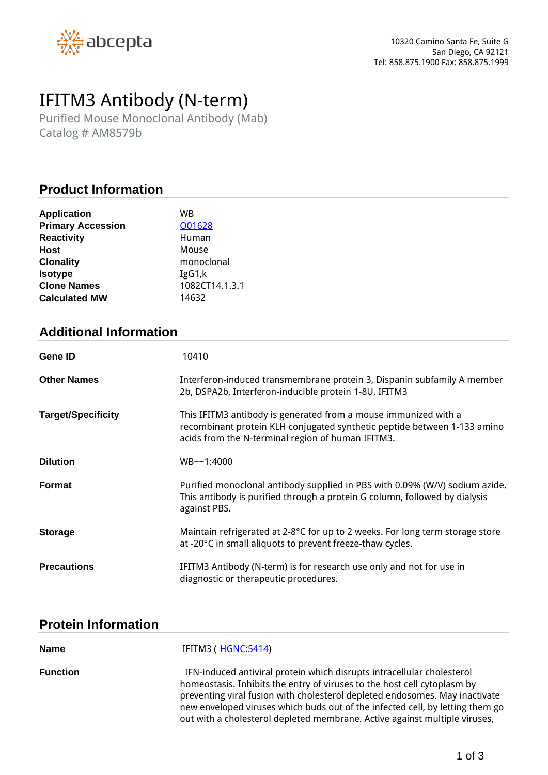

# *IFITM3 Antibody (N-term)*

*Purified Mouse Monoclonal Antibody (Mab) Catalog # AM8579b*

## **Product Information**

| <b>Application</b>       | WB             |
|--------------------------|----------------|
| <b>Primary Accession</b> | Q01628         |
| <b>Reactivity</b>        | Human          |
| Host                     | Mouse          |
| <b>Clonality</b>         | monoclonal     |
| <b>Isotype</b>           | IgG1,k         |
| <b>Clone Names</b>       | 1082CT14.1.3.1 |
| <b>Calculated MW</b>     | 14632          |

# **Additional Information**

| <b>Gene ID</b>            | 10410                                                                                                                                                                                            |
|---------------------------|--------------------------------------------------------------------------------------------------------------------------------------------------------------------------------------------------|
| <b>Other Names</b>        | Interferon-induced transmembrane protein 3, Dispanin subfamily A member<br>2b, DSPA2b, Interferon-inducible protein 1-8U, IFITM3                                                                 |
| <b>Target/Specificity</b> | This IFITM3 antibody is generated from a mouse immunized with a<br>recombinant protein KLH conjugated synthetic peptide between 1-133 amino<br>acids from the N-terminal region of human IFITM3. |
| <b>Dilution</b>           | $WB - -1:4000$                                                                                                                                                                                   |
| <b>Format</b>             | Purified monoclonal antibody supplied in PBS with 0.09% (W/V) sodium azide.<br>This antibody is purified through a protein G column, followed by dialysis<br>against PBS.                        |
| <b>Storage</b>            | Maintain refrigerated at 2-8°C for up to 2 weeks. For long term storage store<br>at -20°C in small aliquots to prevent freeze-thaw cycles.                                                       |
| <b>Precautions</b>        | IFITM3 Antibody (N-term) is for research use only and not for use in<br>diagnostic or therapeutic procedures.                                                                                    |

# **Protein Information**

| <b>Name</b>     | IFITM3 ( <u>HGNC:5414</u> )                                                                                                                                                                                                                                                                                                                                                                      |
|-----------------|--------------------------------------------------------------------------------------------------------------------------------------------------------------------------------------------------------------------------------------------------------------------------------------------------------------------------------------------------------------------------------------------------|
| <b>Function</b> | IFN-induced antiviral protein which disrupts intracellular cholesterol<br>homeostasis. Inhibits the entry of viruses to the host cell cytoplasm by<br>preventing viral fusion with cholesterol depleted endosomes. May inactivate<br>new enveloped viruses which buds out of the infected cell, by letting them go<br>out with a cholesterol depleted membrane. Active against multiple viruses, |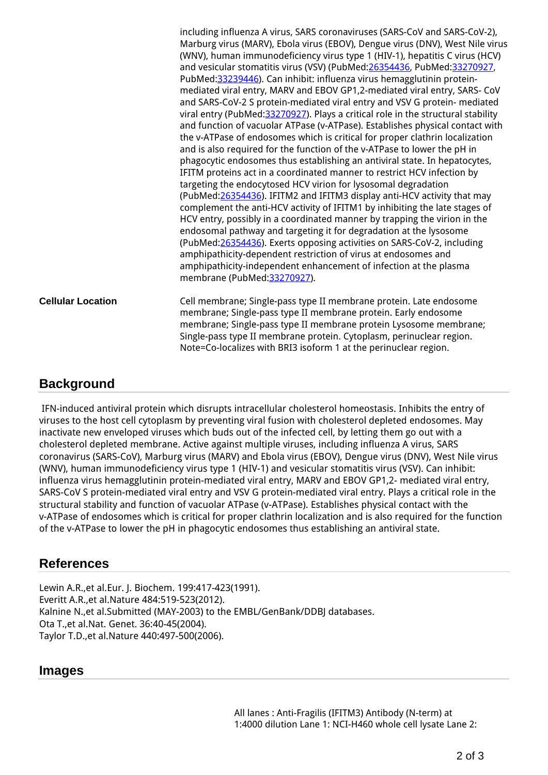*including influenza A virus, SARS coronaviruses (SARS-CoV and SARS-CoV-2), Marburg virus (MARV), Ebola virus (EBOV), Dengue virus (DNV), West Nile virus (WNV), human immunodeficiency virus type 1 (HIV-1), hepatitis C virus (HCV) and vesicular stomatitis virus (VSV) (PubMed:[26354436](http://www.uniprot.org/citations/26354436), PubMed[:33270927](http://www.uniprot.org/citations/33270927), PubMed[:33239446](http://www.uniprot.org/citations/33239446)). Can inhibit: influenza virus hemagglutinin proteinmediated viral entry, MARV and EBOV GP1,2-mediated viral entry, SARS- CoV and SARS-CoV-2 S protein-mediated viral entry and VSV G protein- mediated viral entry (PubMed[:33270927](http://www.uniprot.org/citations/33270927)). Plays a critical role in the structural stability and function of vacuolar ATPase (v-ATPase). Establishes physical contact with the v-ATPase of endosomes which is critical for proper clathrin localization and is also required for the function of the v-ATPase to lower the pH in phagocytic endosomes thus establishing an antiviral state. In hepatocytes, IFITM proteins act in a coordinated manner to restrict HCV infection by targeting the endocytosed HCV virion for lysosomal degradation (PubMed[:26354436](http://www.uniprot.org/citations/26354436)). IFITM2 and IFITM3 display anti-HCV activity that may complement the anti-HCV activity of IFITM1 by inhibiting the late stages of HCV entry, possibly in a coordinated manner by trapping the virion in the endosomal pathway and targeting it for degradation at the lysosome (PubMed[:26354436](http://www.uniprot.org/citations/26354436)). Exerts opposing activities on SARS-CoV-2, including amphipathicity-dependent restriction of virus at endosomes and amphipathicity-independent enhancement of infection at the plasma membrane (PubMed:[33270927](http://www.uniprot.org/citations/33270927)).* **Cellular Location** *Cell membrane; Single-pass type II membrane protein. Late endosome membrane; Single-pass type II membrane protein. Early endosome membrane; Single-pass type II membrane protein Lysosome membrane; Single-pass type II membrane protein. Cytoplasm, perinuclear region. Note=Co-localizes with BRI3 isoform 1 at the perinuclear region.*

#### **Background**

 *IFN-induced antiviral protein which disrupts intracellular cholesterol homeostasis. Inhibits the entry of viruses to the host cell cytoplasm by preventing viral fusion with cholesterol depleted endosomes. May inactivate new enveloped viruses which buds out of the infected cell, by letting them go out with a cholesterol depleted membrane. Active against multiple viruses, including influenza A virus, SARS coronavirus (SARS-CoV), Marburg virus (MARV) and Ebola virus (EBOV), Dengue virus (DNV), West Nile virus (WNV), human immunodeficiency virus type 1 (HIV-1) and vesicular stomatitis virus (VSV). Can inhibit: influenza virus hemagglutinin protein-mediated viral entry, MARV and EBOV GP1,2- mediated viral entry, SARS-CoV S protein-mediated viral entry and VSV G protein-mediated viral entry. Plays a critical role in the structural stability and function of vacuolar ATPase (v-ATPase). Establishes physical contact with the v-ATPase of endosomes which is critical for proper clathrin localization and is also required for the function of the v-ATPase to lower the pH in phagocytic endosomes thus establishing an antiviral state.* 

# **References**

*Lewin A.R.,et al.Eur. J. Biochem. 199:417-423(1991). Everitt A.R.,et al.Nature 484:519-523(2012). Kalnine N.,et al.Submitted (MAY-2003) to the EMBL/GenBank/DDBJ databases. Ota T.,et al.Nat. Genet. 36:40-45(2004). Taylor T.D.,et al.Nature 440:497-500(2006).*

#### **Images**

*All lanes : Anti-Fragilis (IFITM3) Antibody (N-term) at 1:4000 dilution Lane 1: NCI-H460 whole cell lysate Lane 2:*